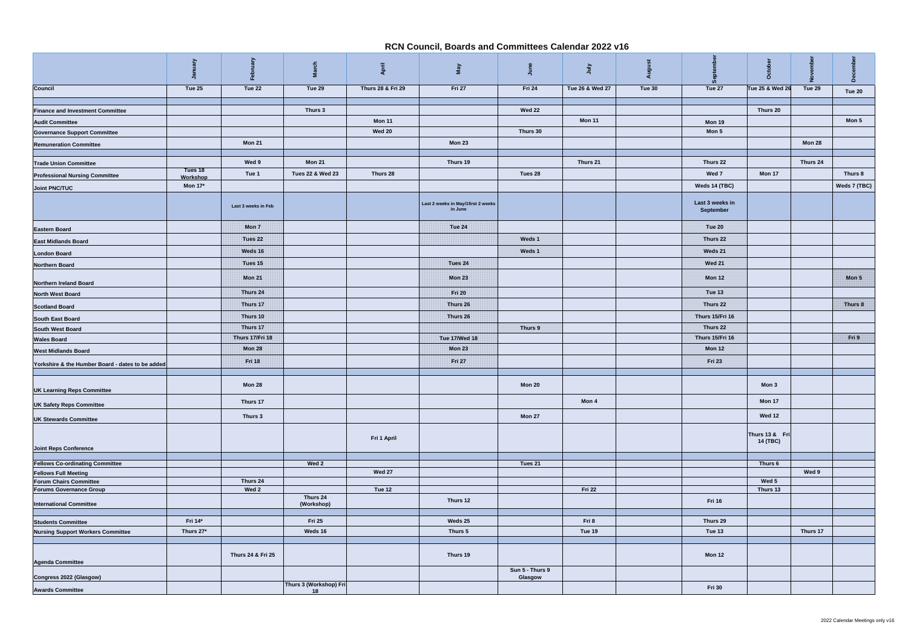|                                                                       | January                    | Febru               | 듕<br><u>ក្នុ</u>       | April             | VeW                                           | June                       | July            | Augu   |                              | Octob                      |          |              |
|-----------------------------------------------------------------------|----------------------------|---------------------|------------------------|-------------------|-----------------------------------------------|----------------------------|-----------------|--------|------------------------------|----------------------------|----------|--------------|
| <b>Council</b>                                                        | Tue 25                     | Tue 22              | Tue 29                 | Thurs 28 & Fri 29 | Fri 27                                        | Fri 24                     | Tue 26 & Wed 27 | Tue 30 | Tue 27                       | Tue 25 & Wed 26            | Tue 29   | Tue 20       |
|                                                                       |                            |                     |                        |                   |                                               |                            |                 |        |                              |                            |          |              |
| <b>Finance and Investment Committee</b>                               |                            |                     | Thurs 3                |                   |                                               | <b>Wed 22</b>              |                 |        |                              | Thurs 20                   |          |              |
| <b>Audit Committee</b>                                                |                            |                     |                        | <b>Mon 11</b>     |                                               |                            | Mon 11          |        | Mon 19                       |                            |          | Mon 5        |
| <b>Governance Support Committee</b>                                   |                            |                     |                        | <b>Wed 20</b>     |                                               | Thurs 30                   |                 |        | Mon 5                        |                            |          |              |
| <b>Remuneration Committee</b>                                         |                            | <b>Mon 21</b>       |                        |                   | <b>Mon 23</b>                                 |                            |                 |        |                              |                            | Mon 28   |              |
| <b>Trade Union Committee</b>                                          |                            | Wed 9               | <b>Mon 21</b>          |                   | Thurs 19                                      |                            | Thurs 21        |        | Thurs 22                     |                            | Thurs 24 |              |
| <b>Professional Nursing Committee</b>                                 | Tues 18                    | Tue 1               | Tues 22 & Wed 23       | Thurs 28          |                                               | Tues 28                    |                 |        | Wed 7                        | Mon 17                     |          | Thurs 8      |
|                                                                       | Workshop<br><b>Mon 17*</b> |                     |                        |                   |                                               |                            |                 |        | Weds 14 (TBC)                |                            |          | Weds 7 (TBC) |
| <b>Joint PNC/TUC</b>                                                  |                            | Last 3 weeks in Feb |                        |                   | Last 2 weeks in May/1first 2 weeks<br>in June |                            |                 |        | Last 3 weeks in<br>September |                            |          |              |
| <b>Eastern Board</b>                                                  |                            | Mon <sub>7</sub>    |                        |                   | <b>Tue 24</b>                                 |                            |                 |        | <b>Tue 20</b>                |                            |          |              |
| <b>East Midlands Board</b>                                            |                            | Tues 22             |                        |                   |                                               | Weds 1                     |                 |        | Thurs 22                     |                            |          |              |
| <b>London Board</b>                                                   |                            | Weds 16             |                        |                   |                                               | Weds 1                     |                 |        | Weds 21                      |                            |          |              |
| <b>Northern Board</b>                                                 |                            | Tues 15             |                        |                   | Tues 24                                       |                            |                 |        | <b>Wed 21</b>                |                            |          |              |
|                                                                       |                            |                     |                        |                   |                                               |                            |                 |        |                              |                            |          |              |
| <b>Northern Ireland Board</b>                                         |                            | <b>Mon 21</b>       |                        |                   | <b>Mon 23</b>                                 |                            |                 |        | <b>Mon 12</b>                |                            |          | Mon 5        |
| <b>North West Board</b>                                               |                            | Thurs 24            |                        |                   | <b>Fri 20</b>                                 |                            |                 |        | <b>Tue 13</b>                |                            |          |              |
| <b>Scotland Board</b>                                                 |                            | Thurs 17            |                        |                   | Thurs 26                                      |                            |                 |        | Thurs 22                     |                            |          | Thurs 8      |
| <b>South East Board</b>                                               |                            | Thurs 10            |                        |                   | Thurs 26                                      |                            |                 |        | Thurs 15/Fri 16              |                            |          |              |
| <b>South West Board</b>                                               |                            | Thurs 17            |                        |                   |                                               | Thurs 9                    |                 |        | Thurs 22                     |                            |          |              |
| <b>Wales Board</b>                                                    |                            | Thurs 17/Fri 18     |                        |                   | <b>Tue 17/Wed 18</b>                          |                            |                 |        | Thurs 15/Fri 16              |                            |          | Fri 9        |
| <b>West Midlands Board</b>                                            |                            | <b>Mon 28</b>       |                        |                   | <b>Mon 23</b>                                 |                            |                 |        | <b>Mon 12</b>                |                            |          |              |
| Yorkshire & the Humber Board - dates to be added                      |                            | <b>Fri 18</b>       |                        |                   | Fri 27                                        |                            |                 |        | Fri 23                       |                            |          |              |
|                                                                       |                            |                     |                        |                   |                                               |                            |                 |        |                              |                            |          |              |
| <b>UK Learning Reps Committee</b>                                     |                            | Mon 28              |                        |                   |                                               | Mon 20                     |                 |        |                              | Mon 3                      |          |              |
| <b>UK Safety Reps Committee</b>                                       |                            | Thurs 17            |                        |                   |                                               |                            | Mon 4           |        |                              | Mon 17                     |          |              |
| <b>UK Stewards Committee</b>                                          |                            | Thurs 3             |                        |                   |                                               | Mon 27                     |                 |        |                              | <b>Wed 12</b>              |          |              |
| <b>Joint Reps Conference</b>                                          |                            |                     |                        | Fri 1 April       |                                               |                            |                 |        |                              | Thurs 13 & Fri<br>14 (TBC) |          |              |
| <b>Fellows Co-ordinating Committee</b>                                |                            |                     | Wed 2                  |                   |                                               | Tues 21                    |                 |        |                              | Thurs 6                    |          |              |
| <b>Fellows Full Meeting</b>                                           |                            |                     |                        | <b>Wed 27</b>     |                                               |                            |                 |        |                              |                            | Wed 9    |              |
| <b>Forum Chairs Committee</b>                                         |                            | Thurs 24            |                        |                   |                                               |                            |                 |        |                              | Wed 5                      |          |              |
| <b>Forums Governance Group</b>                                        |                            | Wed 2               | Thurs 24               | <b>Tue 12</b>     |                                               |                            | <b>Fri 22</b>   |        |                              | Thurs 13                   |          |              |
| <b>International Committee</b>                                        |                            |                     | (Workshop)             |                   | Thurs 12                                      |                            |                 |        | <b>Fri 16</b>                |                            |          |              |
|                                                                       | Fri 14*                    |                     | <b>Fri 25</b>          |                   | Weds 25                                       |                            | Fri 8           |        | Thurs 29                     |                            |          |              |
| <b>Students Committee</b><br><b>Nursing Support Workers Committee</b> | Thurs 27*                  |                     | Weds 16                |                   | Thurs 5                                       |                            | Tue 19          |        | Tue 13                       |                            | Thurs 17 |              |
|                                                                       |                            |                     |                        |                   |                                               |                            |                 |        |                              |                            |          |              |
| <b>Agenda Committee</b>                                               |                            | Thurs 24 & Fri 25   |                        |                   | Thurs 19                                      |                            |                 |        | <b>Mon 12</b>                |                            |          |              |
| Congress 2022 (Glasgow)                                               |                            |                     |                        |                   |                                               | Sun 5 - Thurs 9<br>Glasgow |                 |        |                              |                            |          |              |
|                                                                       |                            |                     | Thurs 3 (Workshop) Fri |                   |                                               |                            |                 |        | <b>Fri 30</b>                |                            |          |              |
| <b>Awards Committee</b>                                               |                            |                     | 18                     |                   |                                               |                            |                 |        |                              |                            |          |              |

## **RCN Council, Boards and Committees Calendar 2022 v16**